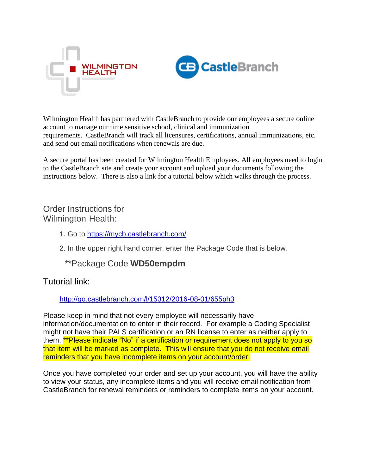



Wilmington Health has partnered with CastleBranch to provide our employees a secure online account to manage our time sensitive school, clinical and immunization requirements. CastleBranch will track all licensures, certifications, annual immunizations, etc. and send out email notifications when renewals are due.

A secure portal has been created for Wilmington Health Employees. All employees need to login to the CastleBranch site and create your account and upload your documents following the instructions below. There is also a link for a tutorial below which walks through the process.

## Order Instructions for Wilmington Health:

- 1. Go to<https://mycb.castlebranch.com/>
- 2. In the upper right hand corner, enter the Package Code that is below.

## \*\*Package Code **WD50empdm**

#### Tutorial link:

#### <http://go.castlebranch.com/l/15312/2016-08-01/655ph3>

Please keep in mind that not every employee will necessarily have information/documentation to enter in their record. For example a Coding Specialist might not have their PALS certification or an RN license to enter as neither apply to them. \*\*Please indicate "No" if a certification or requirement does not apply to you so that item will be marked as complete. This will ensure that you do not receive email reminders that you have incomplete items on your account/order.

Once you have completed your order and set up your account, you will have the ability to view your status, any incomplete items and you will receive email notification from CastleBranch for renewal reminders or reminders to complete items on your account.